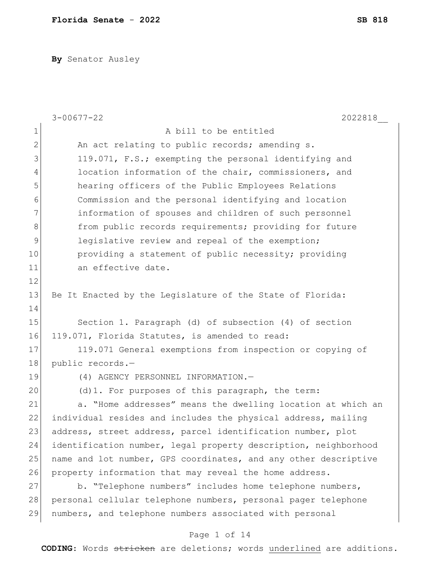**By** Senator Ausley

|              | $3 - 00677 - 22$<br>2022818                                     |
|--------------|-----------------------------------------------------------------|
| $\mathbf 1$  | A bill to be entitled                                           |
| $\mathbf{2}$ | An act relating to public records; amending s.                  |
| 3            | 119.071, F.S.; exempting the personal identifying and           |
| 4            | location information of the chair, commissioners, and           |
| 5            | hearing officers of the Public Employees Relations              |
| 6            | Commission and the personal identifying and location            |
| 7            | information of spouses and children of such personnel           |
| 8            | from public records requirements; providing for future          |
| $\mathsf 9$  | legislative review and repeal of the exemption;                 |
| 10           | providing a statement of public necessity; providing            |
| 11           | an effective date.                                              |
| 12           |                                                                 |
| 13           | Be It Enacted by the Legislature of the State of Florida:       |
| 14           |                                                                 |
| 15           | Section 1. Paragraph (d) of subsection (4) of section           |
| 16           | 119.071, Florida Statutes, is amended to read:                  |
| 17           | 119.071 General exemptions from inspection or copying of        |
| 18           | public records.-                                                |
| 19           | (4) AGENCY PERSONNEL INFORMATION.-                              |
| 20           | (d) 1. For purposes of this paragraph, the term:                |
| 21           | a. "Home addresses" means the dwelling location at which an     |
| 22           | individual resides and includes the physical address, mailing   |
| 23           | address, street address, parcel identification number, plot     |
| 24           | identification number, legal property description, neighborhood |
| 25           | name and lot number, GPS coordinates, and any other descriptive |
| 26           | property information that may reveal the home address.          |
| 27           | b. "Telephone numbers" includes home telephone numbers,         |
| 28           | personal cellular telephone numbers, personal pager telephone   |
| 29           | numbers, and telephone numbers associated with personal         |

# Page 1 of 14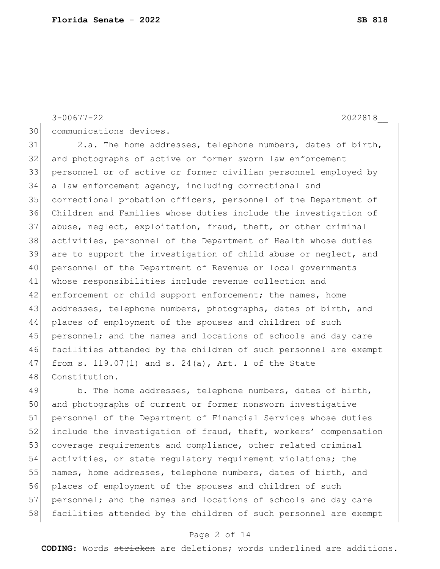$3-00677-22$  2022818

30 communications devices.

31 2.a. The home addresses, telephone numbers, dates of birth, and photographs of active or former sworn law enforcement personnel or of active or former civilian personnel employed by a law enforcement agency, including correctional and correctional probation officers, personnel of the Department of Children and Families whose duties include the investigation of abuse, neglect, exploitation, fraud, theft, or other criminal activities, personnel of the Department of Health whose duties are to support the investigation of child abuse or neglect, and personnel of the Department of Revenue or local governments whose responsibilities include revenue collection and 42 enforcement or child support enforcement; the names, home addresses, telephone numbers, photographs, dates of birth, and places of employment of the spouses and children of such 45 personnel; and the names and locations of schools and day care facilities attended by the children of such personnel are exempt from s. 119.07(1) and s. 24(a), Art. I of the State 48 Constitution.

49 b. The home addresses, telephone numbers, dates of birth, 50 and photographs of current or former nonsworn investigative 51 personnel of the Department of Financial Services whose duties 52 include the investigation of fraud, theft, workers' compensation 53 coverage requirements and compliance, other related criminal 54 activities, or state regulatory requirement violations; the 55 names, home addresses, telephone numbers, dates of birth, and 56 places of employment of the spouses and children of such 57 personnel; and the names and locations of schools and day care 58 facilities attended by the children of such personnel are exempt

### Page 2 of 14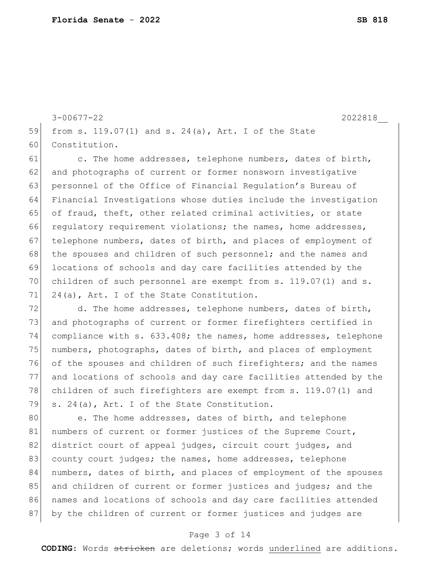3-00677-22 2022818\_\_ 59 from s. 119.07(1) and s. 24(a), Art. I of the State 60 Constitution.

61 c. The home addresses, telephone numbers, dates of birth, 62 and photographs of current or former nonsworn investigative 63 personnel of the Office of Financial Regulation's Bureau of 64 Financial Investigations whose duties include the investigation 65 of fraud, theft, other related criminal activities, or state 66 regulatory requirement violations; the names, home addresses, 67 telephone numbers, dates of birth, and places of employment of 68 the spouses and children of such personnel; and the names and 69 locations of schools and day care facilities attended by the 70 children of such personnel are exempt from s. 119.07(1) and s. 71 24(a), Art. I of the State Constitution.

72 d. The home addresses, telephone numbers, dates of birth, and photographs of current or former firefighters certified in compliance with s. 633.408; the names, home addresses, telephone 75 numbers, photographs, dates of birth, and places of employment of the spouses and children of such firefighters; and the names and locations of schools and day care facilities attended by the 78 children of such firefighters are exempt from s. 119.07(1) and s. 24(a), Art. I of the State Constitution.

80 e. The home addresses, dates of birth, and telephone 81 | numbers of current or former justices of the Supreme Court, 82 district court of appeal judges, circuit court judges, and 83 county court judges; the names, home addresses, telephone 84 numbers, dates of birth, and places of employment of the spouses 85 and children of current or former justices and judges; and the 86 | names and locations of schools and day care facilities attended 87 by the children of current or former justices and judges are

### Page 3 of 14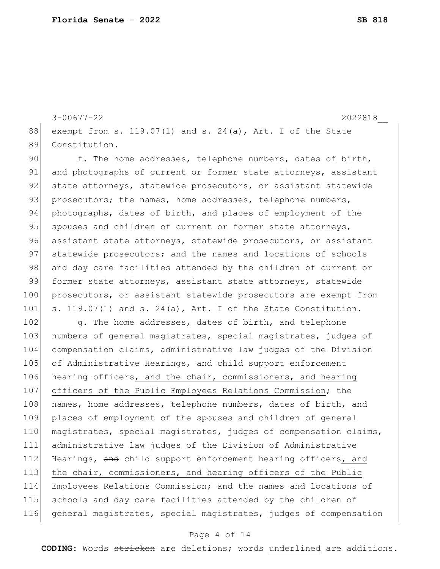3-00677-22 2022818\_\_ 88 exempt from s. 119.07(1) and s. 24(a), Art. I of the State 89 Constitution.

90 f. The home addresses, telephone numbers, dates of birth, 91 and photographs of current or former state attorneys, assistant 92 state attorneys, statewide prosecutors, or assistant statewide 93 prosecutors; the names, home addresses, telephone numbers, 94 photographs, dates of birth, and places of employment of the 95 spouses and children of current or former state attorneys, 96 assistant state attorneys, statewide prosecutors, or assistant 97 statewide prosecutors; and the names and locations of schools 98 and day care facilities attended by the children of current or 99 former state attorneys, assistant state attorneys, statewide 100 prosecutors, or assistant statewide prosecutors are exempt from 101 s. 119.07(1) and s. 24(a), Art. I of the State Constitution.

102 g. The home addresses, dates of birth, and telephone 103 numbers of general magistrates, special magistrates, judges of 104 compensation claims, administrative law judges of the Division 105 of Administrative Hearings, and child support enforcement 106 hearing officers, and the chair, commissioners, and hearing 107 officers of the Public Employees Relations Commission; the 108 names, home addresses, telephone numbers, dates of birth, and 109 places of employment of the spouses and children of general 110 magistrates, special magistrates, judges of compensation claims, 111 administrative law judges of the Division of Administrative 112 Hearings, and child support enforcement hearing officers, and 113 the chair, commissioners, and hearing officers of the Public 114 Employees Relations Commission; and the names and locations of 115 schools and day care facilities attended by the children of 116 general magistrates, special magistrates, judges of compensation

#### Page 4 of 14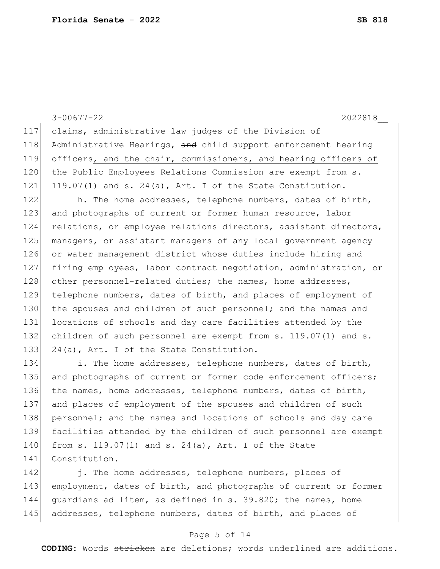3-00677-22 2022818\_\_ 117 claims, administrative law judges of the Division of 118 Administrative Hearings, and child support enforcement hearing 119 officers, and the chair, commissioners, and hearing officers of 120 the Public Employees Relations Commission are exempt from s. 121 119.07(1) and s. 24(a), Art. I of the State Constitution. 122 h. The home addresses, telephone numbers, dates of birth, 123 and photographs of current or former human resource, labor 124 relations, or employee relations directors, assistant directors, 125 managers, or assistant managers of any local government agency 126 or water management district whose duties include hiring and 127 firing employees, labor contract negotiation, administration, or 128 other personnel-related duties; the names, home addresses, 129 telephone numbers, dates of birth, and places of employment of 130 the spouses and children of such personnel; and the names and 131 locations of schools and day care facilities attended by the 132 children of such personnel are exempt from s. 119.07(1) and s. 133 24(a), Art. I of the State Constitution. 134 i. The home addresses, telephone numbers, dates of birth, 135 and photographs of current or former code enforcement officers; 136 the names, home addresses, telephone numbers, dates of birth, 137 and places of employment of the spouses and children of such 138 personnel; and the names and locations of schools and day care

139 facilities attended by the children of such personnel are exempt 140 from s. 119.07(1) and s. 24(a), Art. I of the State 141 Constitution.

142 i. The home addresses, telephone numbers, places of 143 employment, dates of birth, and photographs of current or former 144 guardians ad litem, as defined in s. 39.820; the names, home 145 addresses, telephone numbers, dates of birth, and places of

## Page 5 of 14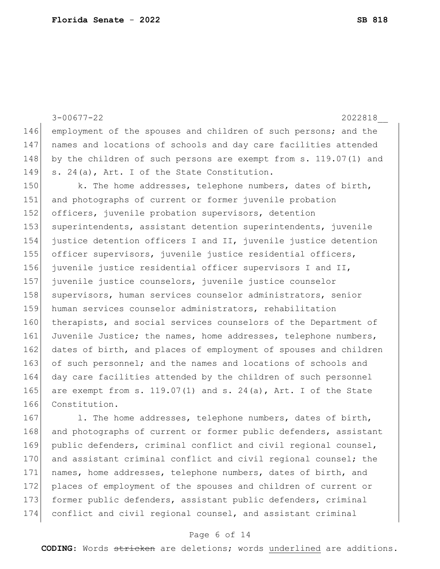|     | $3 - 00677 - 22$<br>2022818                                         |
|-----|---------------------------------------------------------------------|
| 146 | employment of the spouses and children of such persons; and the     |
| 147 | names and locations of schools and day care facilities attended     |
| 148 | by the children of such persons are exempt from s. 119.07(1) and    |
| 149 | s. 24(a), Art. I of the State Constitution.                         |
| 150 | k. The home addresses, telephone numbers, dates of birth,           |
| 151 | and photographs of current or former juvenile probation             |
| 152 | officers, juvenile probation supervisors, detention                 |
| 153 | superintendents, assistant detention superintendents, juvenile      |
| 154 | justice detention officers I and II, juvenile justice detention     |
| 155 | officer supervisors, juvenile justice residential officers,         |
| 156 | juvenile justice residential officer supervisors I and II,          |
| 157 | juvenile justice counselors, juvenile justice counselor             |
| 158 | supervisors, human services counselor administrators, senior        |
| 159 | human services counselor administrators, rehabilitation             |
| 160 | therapists, and social services counselors of the Department of     |
| 161 | Juvenile Justice; the names, home addresses, telephone numbers,     |
| 162 | dates of birth, and places of employment of spouses and children    |
| 163 | of such personnel; and the names and locations of schools and       |
| 164 | day care facilities attended by the children of such personnel      |
| 165 | are exempt from s. $119.07(1)$ and s. $24(a)$ , Art. I of the State |
| 166 | Constitution.                                                       |
| 167 | 1. The home addresses, telephone numbers, dates of birth,           |

 l. The home addresses, telephone numbers, 168 and photographs of current or former public defenders, assistant 169 public defenders, criminal conflict and civil regional counsel, 170 and assistant criminal conflict and civil regional counsel; the 171 names, home addresses, telephone numbers, dates of birth, and 172 places of employment of the spouses and children of current or 173 former public defenders, assistant public defenders, criminal conflict and civil regional counsel, and assistant criminal

## Page 6 of 14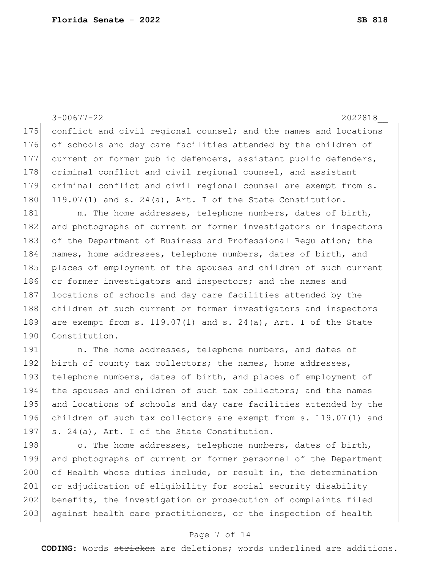3-00677-22 2022818 175 conflict and civil regional counsel; and the names and locations 176 of schools and day care facilities attended by the children of 177 current or former public defenders, assistant public defenders, 178 criminal conflict and civil regional counsel, and assistant 179 criminal conflict and civil regional counsel are exempt from s. 180 119.07(1) and s. 24(a), Art. I of the State Constitution. 181 m. The home addresses, telephone numbers, dates of birth, 182 and photographs of current or former investigators or inspectors 183 of the Department of Business and Professional Requlation; the 184 names, home addresses, telephone numbers, dates of birth, and 185 places of employment of the spouses and children of such current 186 or former investigators and inspectors; and the names and 187 locations of schools and day care facilities attended by the 188 children of such current or former investigators and inspectors 189 are exempt from s.  $119.07(1)$  and s.  $24(a)$ , Art. I of the State 190 Constitution. 191 101 n. The home addresses, telephone numbers, and dates of 192 birth of county tax collectors; the names, home addresses, 193 telephone numbers, dates of birth, and places of employment of 194 the spouses and children of such tax collectors; and the names

195 and locations of schools and day care facilities attended by the 196 children of such tax collectors are exempt from s. 119.07(1) and 197  $\vert$  s. 24(a), Art. I of the State Constitution.

198 o. The home addresses, telephone numbers, dates of birth, 199 and photographs of current or former personnel of the Department 200 of Health whose duties include, or result in, the determination 201 or adjudication of eligibility for social security disability 202 benefits, the investigation or prosecution of complaints filed 203 against health care practitioners, or the inspection of health

#### Page 7 of 14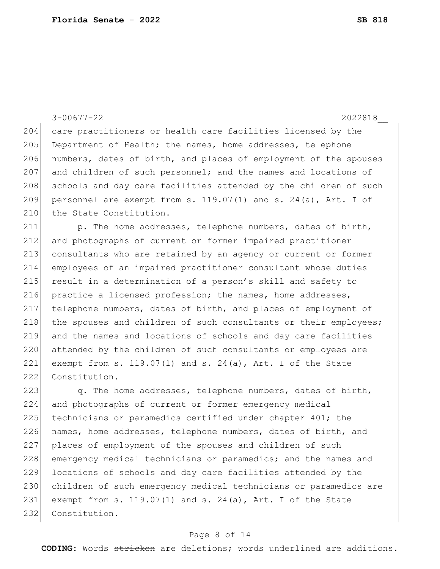204 care practitioners or health care facilities licensed by the 205 Department of Health; the names, home addresses, telephone 206 numbers, dates of birth, and places of employment of the spouses 207 and children of such personnel; and the names and locations of 208 schools and day care facilities attended by the children of such 209 personnel are exempt from s.  $119.07(1)$  and s.  $24(a)$ , Art. I of 210 the State Constitution. 211 p. The home addresses, telephone numbers, dates of birth, 212 and photographs of current or former impaired practitioner 213 consultants who are retained by an agency or current or former 214 employees of an impaired practitioner consultant whose duties 215 result in a determination of a person's skill and safety to 216 practice a licensed profession; the names, home addresses, 217 telephone numbers, dates of birth, and places of employment of 218 the spouses and children of such consultants or their employees; 219 and the names and locations of schools and day care facilities 220 attended by the children of such consultants or employees are 221 exempt from s. 119.07(1) and s. 24(a), Art. I of the State 222 Constitution.

3-00677-22 2022818

223 q. The home addresses, telephone numbers, dates of birth, 224 and photographs of current or former emergency medical 225 technicians or paramedics certified under chapter 401; the 226 names, home addresses, telephone numbers, dates of birth, and 227 places of employment of the spouses and children of such 228 emergency medical technicians or paramedics; and the names and 229 locations of schools and day care facilities attended by the 230 children of such emergency medical technicians or paramedics are 231 exempt from s. 119.07(1) and s. 24(a), Art. I of the State 232 Constitution.

### Page 8 of 14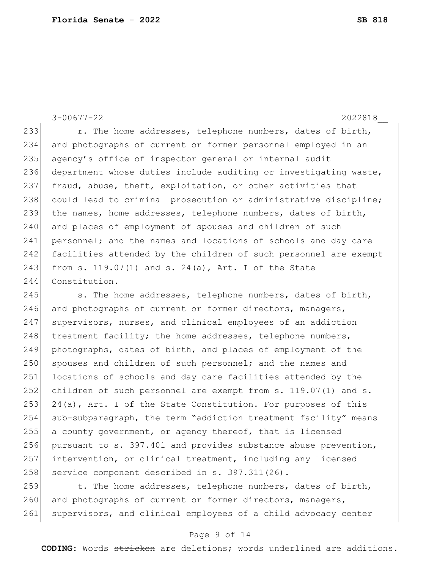3-00677-22 2022818 233 r. The home addresses, telephone numbers, dates of birth, 234 and photographs of current or former personnel employed in an 235 agency's office of inspector general or internal audit 236 department whose duties include auditing or investigating waste, 237 fraud, abuse, theft, exploitation, or other activities that 238 could lead to criminal prosecution or administrative discipline; 239 the names, home addresses, telephone numbers, dates of birth, 240 and places of employment of spouses and children of such 241 personnel; and the names and locations of schools and day care 242 facilities attended by the children of such personnel are exempt 243 from s. 119.07(1) and s. 24(a), Art. I of the State 244 Constitution.

245 s. The home addresses, telephone numbers, dates of birth, 246 and photographs of current or former directors, managers, 247 supervisors, nurses, and clinical employees of an addiction  $248$  treatment facility; the home addresses, telephone numbers, 249 photographs, dates of birth, and places of employment of the 250 spouses and children of such personnel; and the names and 251 locations of schools and day care facilities attended by the 252 children of such personnel are exempt from s. 119.07(1) and s. 253 24(a), Art. I of the State Constitution. For purposes of this 254 sub-subparagraph, the term "addiction treatment facility" means 255 a county government, or agency thereof, that is licensed 256 pursuant to s. 397.401 and provides substance abuse prevention, 257 intervention, or clinical treatment, including any licensed 258 service component described in s. 397.311(26).

259  $\vert$  t. The home addresses, telephone numbers, dates of birth, 260 and photographs of current or former directors, managers, 261 supervisors, and clinical employees of a child advocacy center

#### Page 9 of 14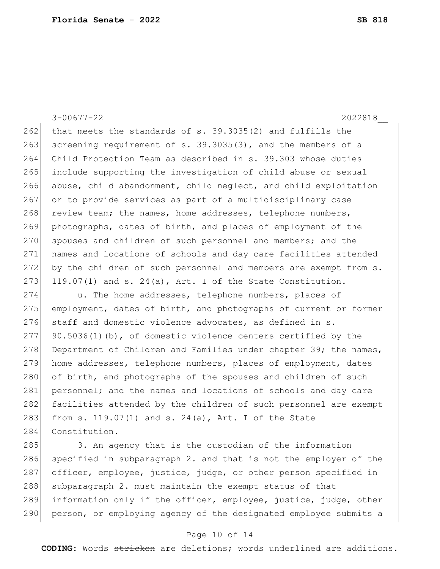3-00677-22 2022818\_\_

262 that meets the standards of s.  $39.3035(2)$  and fulfills the 263 screening requirement of s. 39.3035(3), and the members of a 264 Child Protection Team as described in s. 39.303 whose duties 265 include supporting the investigation of child abuse or sexual 266 abuse, child abandonment, child neglect, and child exploitation 267 or to provide services as part of a multidisciplinary case 268 review team; the names, home addresses, telephone numbers, 269 photographs, dates of birth, and places of employment of the 270 spouses and children of such personnel and members; and the 271 names and locations of schools and day care facilities attended 272 by the children of such personnel and members are exempt from s. 273 119.07(1) and s. 24(a), Art. I of the State Constitution.

274 u. The home addresses, telephone numbers, places of 275 employment, dates of birth, and photographs of current or former  $276$  staff and domestic violence advocates, as defined in s.  $277$  90.5036(1)(b), of domestic violence centers certified by the 278 Department of Children and Families under chapter 39; the names, 279 home addresses, telephone numbers, places of employment, dates 280 of birth, and photographs of the spouses and children of such 281 personnel; and the names and locations of schools and day care 282 facilities attended by the children of such personnel are exempt 283 from s. 119.07(1) and s. 24(a), Art. I of the State 284 Constitution.

285 3. An agency that is the custodian of the information 286 specified in subparagraph 2. and that is not the employer of the 287 officer, employee, justice, judge, or other person specified in 288 subparagraph 2. must maintain the exempt status of that 289 information only if the officer, employee, justice, judge, other 290 person, or employing agency of the designated employee submits a

#### Page 10 of 14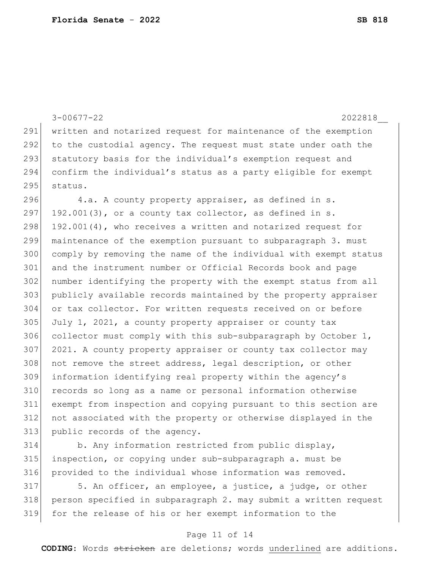|     | $3 - 00677 - 22$<br>2022818                                                                                                                                                                                                       |
|-----|-----------------------------------------------------------------------------------------------------------------------------------------------------------------------------------------------------------------------------------|
| 291 | written and notarized request for maintenance of the exemption                                                                                                                                                                    |
| 292 | to the custodial agency. The request must state under oath the                                                                                                                                                                    |
| 293 | statutory basis for the individual's exemption request and                                                                                                                                                                        |
| 294 | confirm the individual's status as a party eligible for exempt                                                                                                                                                                    |
| 295 | status.                                                                                                                                                                                                                           |
| 296 | 4.a. A county property appraiser, as defined in s.                                                                                                                                                                                |
| 297 | $192.001(3)$ , or a county tax collector, as defined in s.                                                                                                                                                                        |
| 298 | 192.001(4), who receives a written and notarized request for                                                                                                                                                                      |
| 299 | maintenance of the exemption pursuant to subparagraph 3. must                                                                                                                                                                     |
| 300 | comply by removing the name of the individual with exempt status                                                                                                                                                                  |
| 301 | and the instrument number or Official Records book and page                                                                                                                                                                       |
| 302 | number identifying the property with the exempt status from all                                                                                                                                                                   |
| 303 | publicly available records maintained by the property appraiser                                                                                                                                                                   |
| 304 | or tax collector. For written requests received on or before                                                                                                                                                                      |
| 305 | July 1, 2021, a county property appraiser or county tax                                                                                                                                                                           |
| 306 | collector must comply with this sub-subparagraph by October $1$ ,                                                                                                                                                                 |
| 307 | 2021. A county property appraiser or county tax collector may                                                                                                                                                                     |
| 308 | not remove the street address, legal description, or other                                                                                                                                                                        |
| 309 | information identifying real property within the agency's                                                                                                                                                                         |
| 310 | records so long as a name or personal information otherwise                                                                                                                                                                       |
| 311 | exempt from inspection and copying pursuant to this section are                                                                                                                                                                   |
| 312 | not associated with the property or otherwise displayed in the                                                                                                                                                                    |
| 313 | public records of the agency.                                                                                                                                                                                                     |
| 211 | $\mathbf{r}$ . The contraction of the contraction of the contract of the state of the contract of the contract of the contract of the contract of the contract of the contract of the contract of the contract of the contract of |

 b. Any information restricted from public display, inspection, or copying under sub-subparagraph a. must be provided to the individual whose information was removed.

 5. An officer, an employee, a justice, a judge, or other person specified in subparagraph 2. may submit a written request for the release of his or her exempt information to the

## Page 11 of 14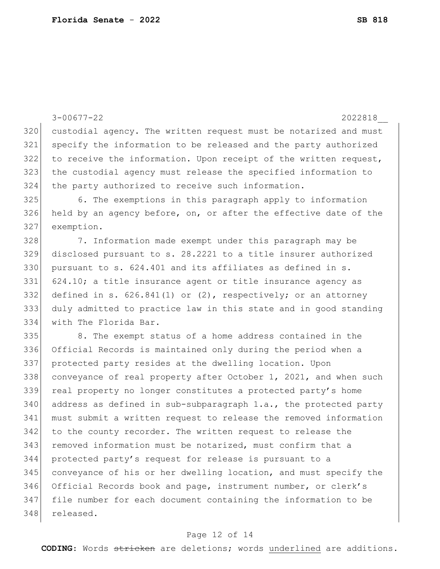|     | $3 - 00677 - 22$<br>2022818                                        |
|-----|--------------------------------------------------------------------|
| 320 | custodial agency. The written request must be notarized and must   |
| 321 | specify the information to be released and the party authorized    |
| 322 | to receive the information. Upon receipt of the written request,   |
| 323 | the custodial agency must release the specified information to     |
| 324 | the party authorized to receive such information.                  |
| 325 | 6. The exemptions in this paragraph apply to information           |
| 326 | held by an agency before, on, or after the effective date of the   |
| 327 | exemption.                                                         |
| 328 | 7. Information made exempt under this paragraph may be             |
| 329 | disclosed pursuant to s. 28.2221 to a title insurer authorized     |
| 330 | pursuant to s. 624.401 and its affiliates as defined in s.         |
| 331 | 624.10; a title insurance agent or title insurance agency as       |
| 332 | defined in s. $626.841(1)$ or $(2)$ , respectively; or an attorney |
| 333 | duly admitted to practice law in this state and in good standing   |
| 334 | with The Florida Bar.                                              |
| 335 | 8. The exempt status of a home address contained in the            |
| 336 | Official Records is maintained only during the period when a       |
| 337 | protected party resides at the dwelling location. Upon             |
| 338 | conveyance of real property after October 1, 2021, and when such   |
| 339 | real property no longer constitutes a protected party's home       |
| 340 | address as defined in sub-subparagraph 1.a., the protected party   |
| 341 | must submit a written request to release the removed information   |
| 342 | to the county recorder. The written request to release the         |
| 343 | removed information must be notarized, must confirm that a         |
| 344 | protected party's request for release is pursuant to a             |
| 345 | conveyance of his or her dwelling location, and must specify the   |
| 346 | Official Records book and page, instrument number, or clerk's      |
| 347 | file number for each document containing the information to be     |
| 348 | released.                                                          |
|     |                                                                    |

# Page 12 of 14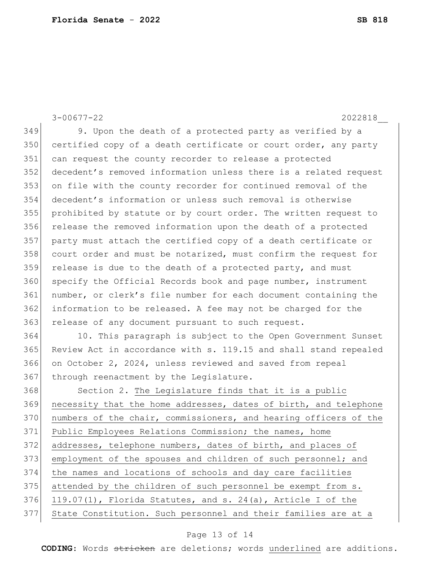3-00677-22 2022818\_\_ 349 9. Upon the death of a protected party as verified by a 350 certified copy of a death certificate or court order, any party 351 can request the county recorder to release a protected 352 decedent's removed information unless there is a related request 353 on file with the county recorder for continued removal of the 354 decedent's information or unless such removal is otherwise 355 prohibited by statute or by court order. The written request to 356 release the removed information upon the death of a protected 357 party must attach the certified copy of a death certificate or 358 court order and must be notarized, must confirm the request for 359 release is due to the death of a protected party, and must 360 specify the Official Records book and page number, instrument 361 number, or clerk's file number for each document containing the 362 information to be released. A fee may not be charged for the 363 release of any document pursuant to such request. 364 10. This paragraph is subject to the Open Government Sunset 365 Review Act in accordance with s. 119.15 and shall stand repealed 366 on October 2, 2024, unless reviewed and saved from repeal 367 through reenactment by the Legislature. 368 Section 2. The Legislature finds that it is a public 369 necessity that the home addresses, dates of birth, and telephone 370 numbers of the chair, commissioners, and hearing officers of the 371 Public Employees Relations Commission; the names, home 372 addresses, telephone numbers, dates of birth, and places of 373 employment of the spouses and children of such personnel; and 374 the names and locations of schools and day care facilities  $375$  attended by the children of such personnel be exempt from s. 376 119.07(1), Florida Statutes, and s. 24(a), Article I of the

## 377 State Constitution. Such personnel and their families are at a

### Page 13 of 14